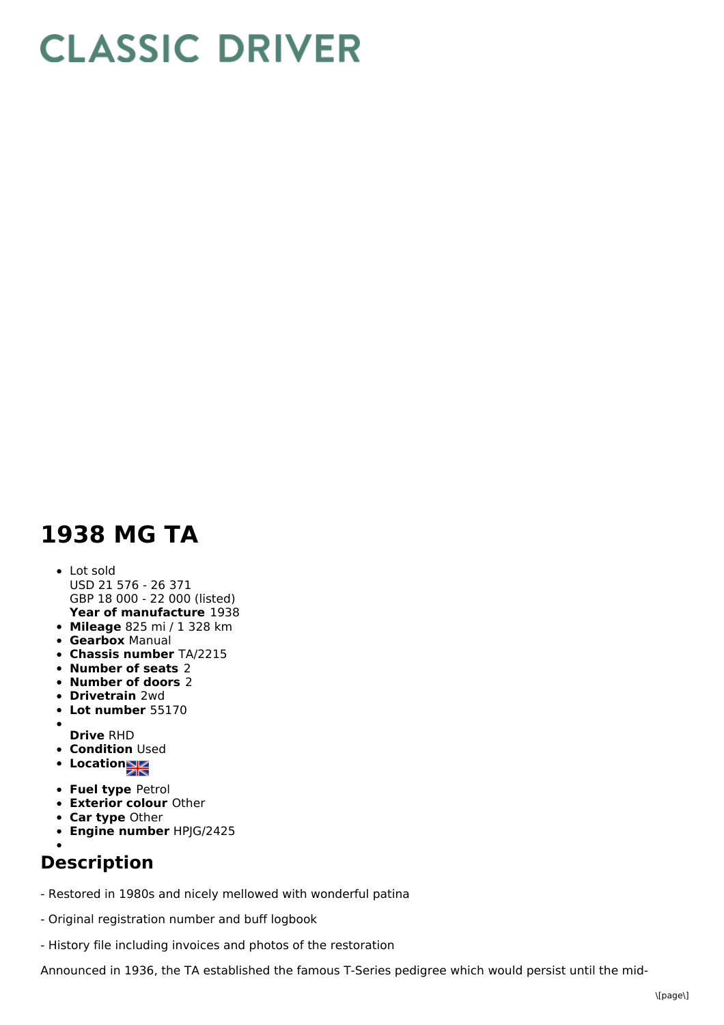## **CLASSIC DRIVER**

## **1938 MG TA**

## **Year of manufacture** 1938 Lot sold USD 21 576 - 26 371 GBP 18 000 - 22 000 (listed)

- **Mileage** 825 mi / 1 328 km
- **Gearbox** Manual
- **Chassis number** TA/2215
- **Number of seats** 2
- **Number of doors** 2
- **Drivetrain** 2wd
- **Lot number** 55170
- $\bullet$ **Drive** RHD
- **Condition Used**
- **Location**
- **Fuel type** Petrol
- **Exterior colour** Other
- **Car type** Other
- **Engine number** HPJG/2425
- 

## **Description**

- Restored in 1980s and nicely mellowed with wonderful patina
- Original registration number and buff logbook
- History file including invoices and photos of the restoration

Announced in 1936, the TA established the famous T-Series pedigree which would persist until the mid-